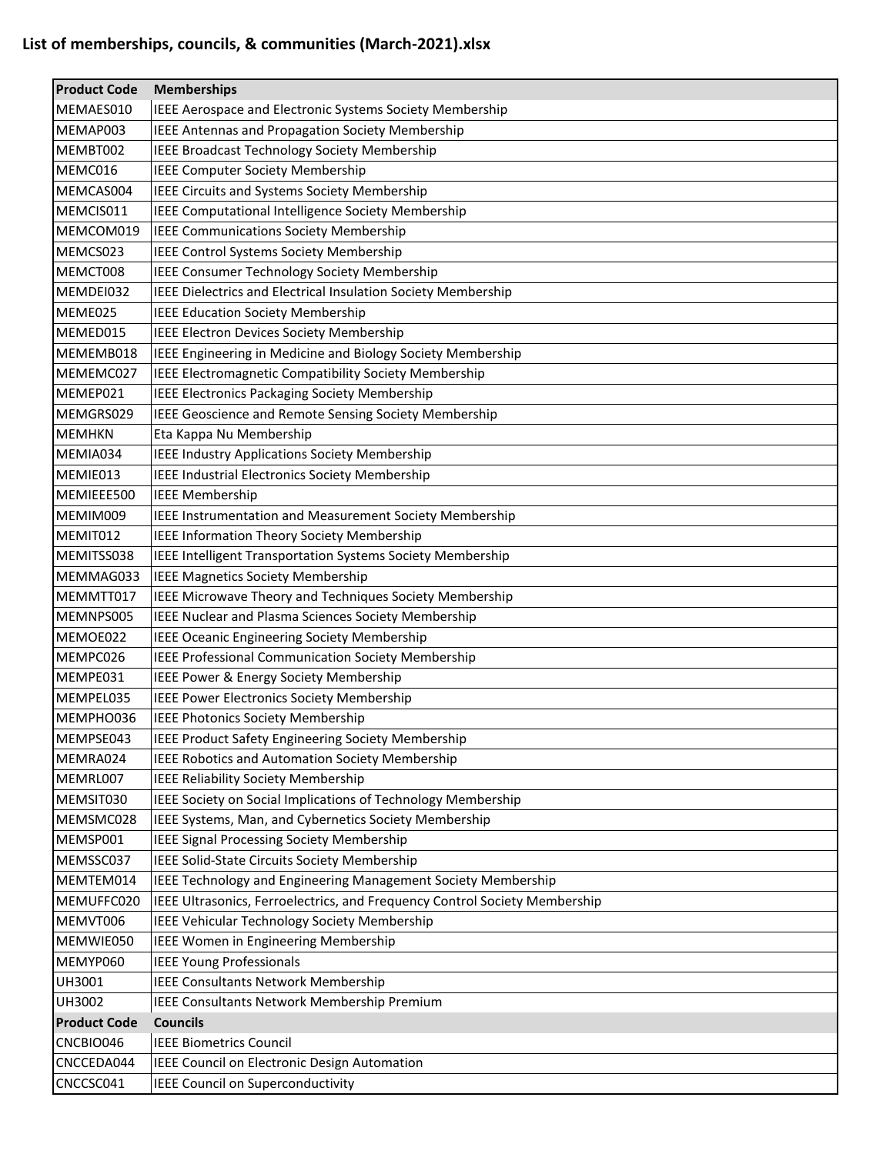| <b>Product Code</b> | <b>Memberships</b>                                                         |
|---------------------|----------------------------------------------------------------------------|
| MEMAES010           | IEEE Aerospace and Electronic Systems Society Membership                   |
| MEMAP003            | <b>IEEE Antennas and Propagation Society Membership</b>                    |
| MEMBT002            | <b>IEEE Broadcast Technology Society Membership</b>                        |
| MEMC016             | <b>IEEE Computer Society Membership</b>                                    |
| MEMCAS004           | <b>IEEE Circuits and Systems Society Membership</b>                        |
| MEMCIS011           | IEEE Computational Intelligence Society Membership                         |
| MEMCOM019           | IEEE Communications Society Membership                                     |
| MEMCS023            | IEEE Control Systems Society Membership                                    |
| MEMCT008            | IEEE Consumer Technology Society Membership                                |
| MEMDEI032           | IEEE Dielectrics and Electrical Insulation Society Membership              |
| MEME025             | <b>IEEE Education Society Membership</b>                                   |
| MEMED015            | IEEE Electron Devices Society Membership                                   |
| MEMEMB018           | IEEE Engineering in Medicine and Biology Society Membership                |
| MEMEMC027           | IEEE Electromagnetic Compatibility Society Membership                      |
| MEMEP021            | <b>IEEE Electronics Packaging Society Membership</b>                       |
| MEMGRS029           | IEEE Geoscience and Remote Sensing Society Membership                      |
| <b>MEMHKN</b>       | Eta Kappa Nu Membership                                                    |
| MEMIA034            | IEEE Industry Applications Society Membership                              |
| MEMIE013            | <b>IEEE Industrial Electronics Society Membership</b>                      |
| MEMIEEE500          | <b>IEEE Membership</b>                                                     |
| MEMIM009            | IEEE Instrumentation and Measurement Society Membership                    |
| MEMIT012            | IEEE Information Theory Society Membership                                 |
| MEMITSS038          | IEEE Intelligent Transportation Systems Society Membership                 |
| MEMMAG033           | IEEE Magnetics Society Membership                                          |
| MEMMTT017           | IEEE Microwave Theory and Techniques Society Membership                    |
| MEMNPS005           | IEEE Nuclear and Plasma Sciences Society Membership                        |
| MEMOE022            | IEEE Oceanic Engineering Society Membership                                |
| MEMPC026            | <b>IEEE Professional Communication Society Membership</b>                  |
| MEMPE031            | IEEE Power & Energy Society Membership                                     |
| MEMPEL035           | <b>IEEE Power Electronics Society Membership</b>                           |
| MEMPHO036           | IEEE Photonics Society Membership                                          |
| MEMPSE043           | IEEE Product Safety Engineering Society Membership                         |
| MEMRA024            | IEEE Robotics and Automation Society Membership                            |
| MEMRL007            | IEEE Reliability Society Membership                                        |
| MEMSIT030           | IEEE Society on Social Implications of Technology Membership               |
| MEMSMC028           | IEEE Systems, Man, and Cybernetics Society Membership                      |
| MEMSP001            | <b>IEEE Signal Processing Society Membership</b>                           |
| MEMSSC037           | IEEE Solid-State Circuits Society Membership                               |
| MEMTEM014           | IEEE Technology and Engineering Management Society Membership              |
| MEMUFFC020          | IEEE Ultrasonics, Ferroelectrics, and Frequency Control Society Membership |
| MEMVT006            | IEEE Vehicular Technology Society Membership                               |
| MEMWIE050           | IEEE Women in Engineering Membership                                       |
| MEMYP060            | <b>IEEE Young Professionals</b>                                            |
| UH3001              | <b>IEEE Consultants Network Membership</b>                                 |
| UH3002              | IEEE Consultants Network Membership Premium                                |
| <b>Product Code</b> | <b>Councils</b>                                                            |
| CNCBIO046           | <b>IEEE Biometrics Council</b>                                             |
| CNCCEDA044          | IEEE Council on Electronic Design Automation                               |
| CNCCSC041           | IEEE Council on Superconductivity                                          |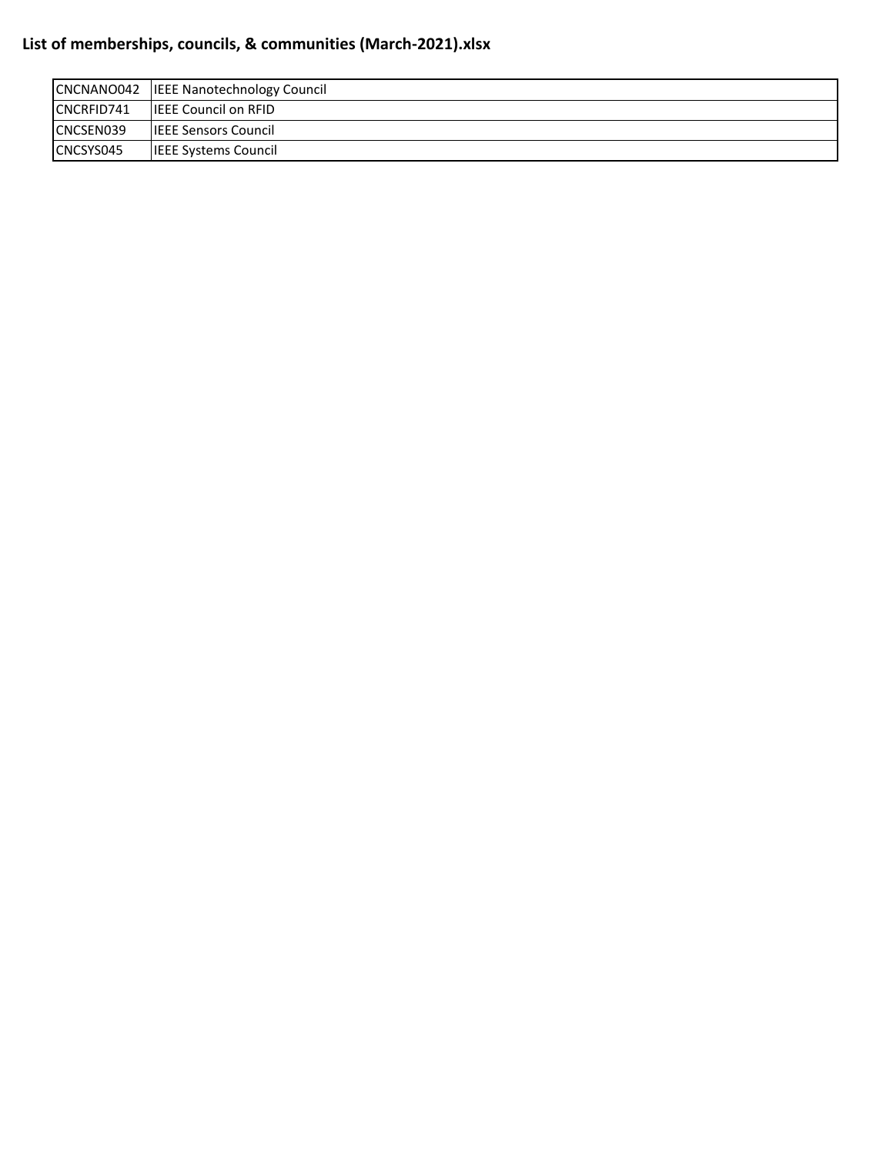| CNCNANO042 | <b>IEEE Nanotechnology Council</b> |
|------------|------------------------------------|
| CNCRFID741 | <b>IEEE Council on RFID</b>        |
| CNCSEN039  | <b>ILEEE Sensors Council</b>       |
| CNCSYS045  | IIEEE Systems Council              |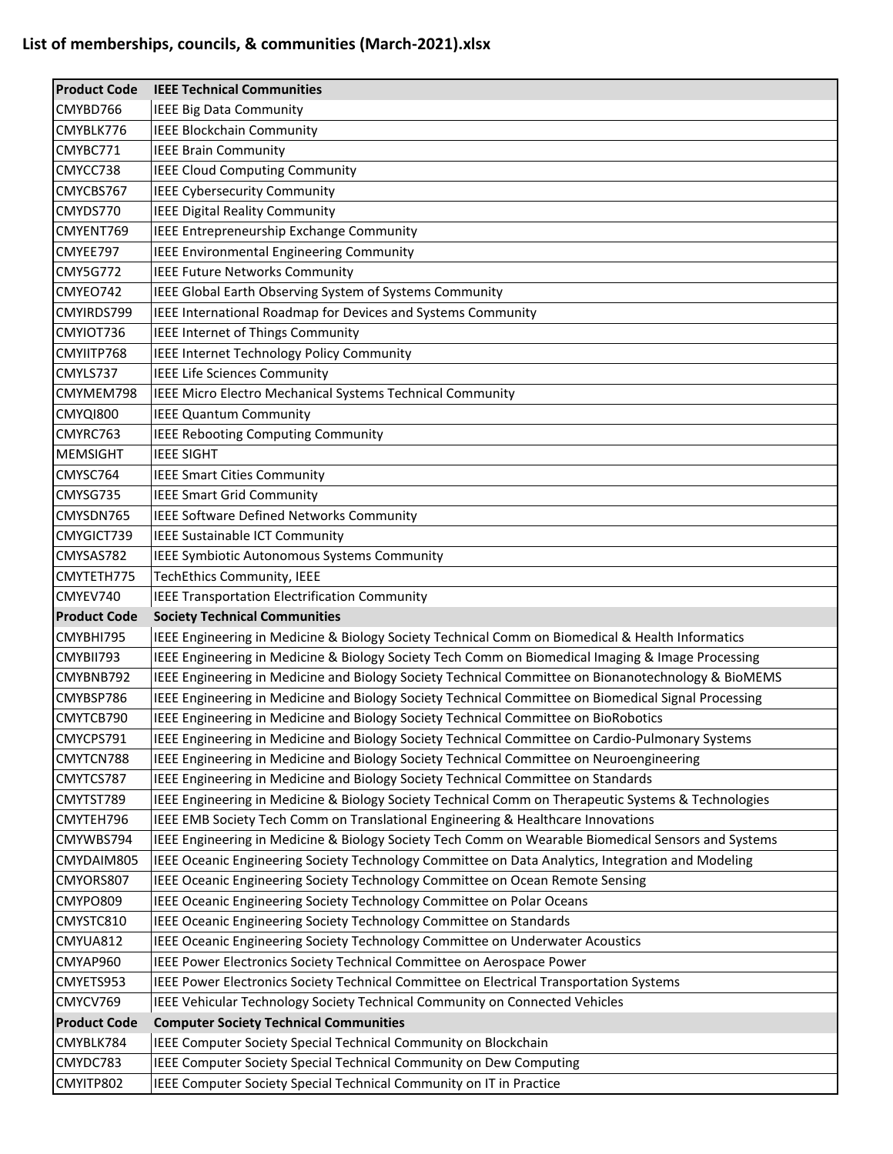| <b>Product Code</b> | <b>IEEE Technical Communities</b>                                                                    |
|---------------------|------------------------------------------------------------------------------------------------------|
| CMYBD766            | <b>IEEE Big Data Community</b>                                                                       |
| CMYBLK776           | <b>IEEE Blockchain Community</b>                                                                     |
| CMYBC771            | <b>IEEE Brain Community</b>                                                                          |
| CMYCC738            | <b>IEEE Cloud Computing Community</b>                                                                |
| CMYCBS767           | <b>IEEE Cybersecurity Community</b>                                                                  |
| CMYDS770            | <b>IEEE Digital Reality Community</b>                                                                |
| CMYENT769           | <b>IEEE Entrepreneurship Exchange Community</b>                                                      |
| CMYEE797            | <b>IEEE Environmental Engineering Community</b>                                                      |
| <b>CMY5G772</b>     | <b>IEEE Future Networks Community</b>                                                                |
| CMYEO742            | IEEE Global Earth Observing System of Systems Community                                              |
| CMYIRDS799          | IEEE International Roadmap for Devices and Systems Community                                         |
| CMYIOT736           | IEEE Internet of Things Community                                                                    |
| CMYIITP768          | <b>IEEE Internet Technology Policy Community</b>                                                     |
| CMYLS737            | <b>IEEE Life Sciences Community</b>                                                                  |
| CMYMEM798           | IEEE Micro Electro Mechanical Systems Technical Community                                            |
| CMYQI800            | <b>IEEE Quantum Community</b>                                                                        |
| CMYRC763            | <b>IEEE Rebooting Computing Community</b>                                                            |
| <b>MEMSIGHT</b>     | <b>IEEE SIGHT</b>                                                                                    |
| CMYSC764            | <b>IEEE Smart Cities Community</b>                                                                   |
| CMYSG735            | <b>IEEE Smart Grid Community</b>                                                                     |
| CMYSDN765           | <b>IEEE Software Defined Networks Community</b>                                                      |
| CMYGICT739          | IEEE Sustainable ICT Community                                                                       |
| CMYSAS782           | <b>IEEE Symbiotic Autonomous Systems Community</b>                                                   |
| CMYTETH775          | TechEthics Community, IEEE                                                                           |
| CMYEV740            | <b>IEEE Transportation Electrification Community</b>                                                 |
| <b>Product Code</b> | <b>Society Technical Communities</b>                                                                 |
| CMYBHI795           | IEEE Engineering in Medicine & Biology Society Technical Comm on Biomedical & Health Informatics     |
| CMYBII793           | IEEE Engineering in Medicine & Biology Society Tech Comm on Biomedical Imaging & Image Processing    |
| CMYBNB792           | IEEE Engineering in Medicine and Biology Society Technical Committee on Bionanotechnology & BioMEMS  |
| CMYBSP786           | IEEE Engineering in Medicine and Biology Society Technical Committee on Biomedical Signal Processing |
| CMYTCB790           | IEEE Engineering in Medicine and Biology Society Technical Committee on BioRobotics                  |
| CMYCPS791           | IEEE Engineering in Medicine and Biology Society Technical Committee on Cardio-Pulmonary Systems     |
| CMYTCN788           | IEEE Engineering in Medicine and Biology Society Technical Committee on Neuroengineering             |
| CMYTCS787           | IEEE Engineering in Medicine and Biology Society Technical Committee on Standards                    |
| CMYTST789           | IEEE Engineering in Medicine & Biology Society Technical Comm on Therapeutic Systems & Technologies  |
| CMYTEH796           | IEEE EMB Society Tech Comm on Translational Engineering & Healthcare Innovations                     |
| CMYWBS794           | IEEE Engineering in Medicine & Biology Society Tech Comm on Wearable Biomedical Sensors and Systems  |
|                     |                                                                                                      |
| CMYDAIM805          | IEEE Oceanic Engineering Society Technology Committee on Data Analytics, Integration and Modeling    |
| CMYORS807           | IEEE Oceanic Engineering Society Technology Committee on Ocean Remote Sensing                        |
| CMYPO809            | IEEE Oceanic Engineering Society Technology Committee on Polar Oceans                                |
| CMYSTC810           | IEEE Oceanic Engineering Society Technology Committee on Standards                                   |
| CMYUA812            | IEEE Oceanic Engineering Society Technology Committee on Underwater Acoustics                        |
| CMYAP960            | IEEE Power Electronics Society Technical Committee on Aerospace Power                                |
| CMYETS953           | IEEE Power Electronics Society Technical Committee on Electrical Transportation Systems              |
| CMYCV769            | IEEE Vehicular Technology Society Technical Community on Connected Vehicles                          |
| <b>Product Code</b> | <b>Computer Society Technical Communities</b>                                                        |
| CMYBLK784           | IEEE Computer Society Special Technical Community on Blockchain                                      |
| CMYDC783            | IEEE Computer Society Special Technical Community on Dew Computing                                   |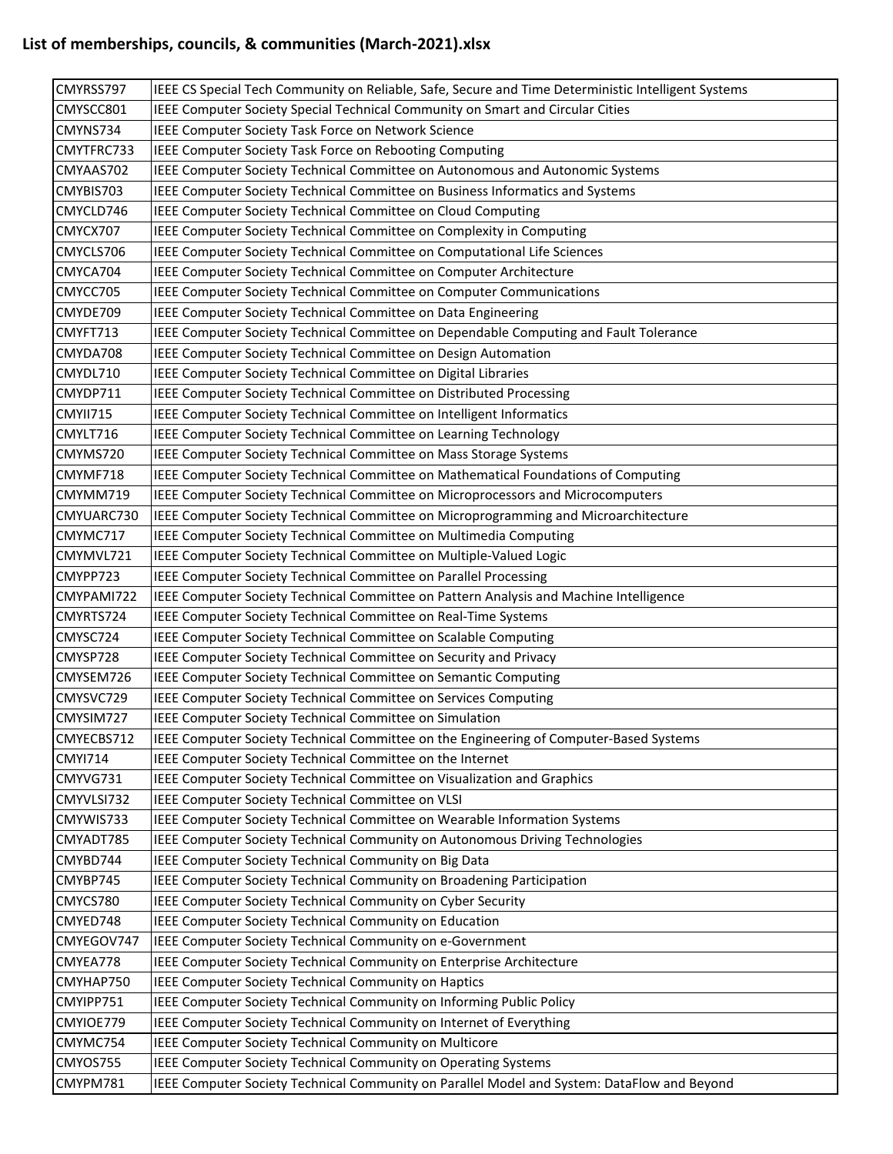| CMYRSS797            | IEEE CS Special Tech Community on Reliable, Safe, Secure and Time Deterministic Intelligent Systems                                                           |
|----------------------|---------------------------------------------------------------------------------------------------------------------------------------------------------------|
| CMYSCC801            | IEEE Computer Society Special Technical Community on Smart and Circular Cities                                                                                |
| CMYNS734             | IEEE Computer Society Task Force on Network Science                                                                                                           |
| CMYTFRC733           | IEEE Computer Society Task Force on Rebooting Computing                                                                                                       |
| CMYAAS702            | IEEE Computer Society Technical Committee on Autonomous and Autonomic Systems                                                                                 |
| CMYBIS703            | IEEE Computer Society Technical Committee on Business Informatics and Systems                                                                                 |
| CMYCLD746            | IEEE Computer Society Technical Committee on Cloud Computing                                                                                                  |
| CMYCX707             | IEEE Computer Society Technical Committee on Complexity in Computing                                                                                          |
| CMYCLS706            | IEEE Computer Society Technical Committee on Computational Life Sciences                                                                                      |
| CMYCA704             | IEEE Computer Society Technical Committee on Computer Architecture                                                                                            |
| CMYCC705             | IEEE Computer Society Technical Committee on Computer Communications                                                                                          |
| CMYDE709             | IEEE Computer Society Technical Committee on Data Engineering                                                                                                 |
| CMYFT713             | IEEE Computer Society Technical Committee on Dependable Computing and Fault Tolerance                                                                         |
| CMYDA708             | IEEE Computer Society Technical Committee on Design Automation                                                                                                |
| CMYDL710             | IEEE Computer Society Technical Committee on Digital Libraries                                                                                                |
| CMYDP711             | IEEE Computer Society Technical Committee on Distributed Processing                                                                                           |
| CMYII715             | IEEE Computer Society Technical Committee on Intelligent Informatics                                                                                          |
| CMYLT716             | IEEE Computer Society Technical Committee on Learning Technology                                                                                              |
| CMYMS720             | IEEE Computer Society Technical Committee on Mass Storage Systems                                                                                             |
| CMYMF718             | IEEE Computer Society Technical Committee on Mathematical Foundations of Computing                                                                            |
| CMYMM719             | IEEE Computer Society Technical Committee on Microprocessors and Microcomputers                                                                               |
| CMYUARC730           | IEEE Computer Society Technical Committee on Microprogramming and Microarchitecture                                                                           |
| CMYMC717             | IEEE Computer Society Technical Committee on Multimedia Computing                                                                                             |
| CMYMVL721            | IEEE Computer Society Technical Committee on Multiple-Valued Logic                                                                                            |
| CMYPP723             | IEEE Computer Society Technical Committee on Parallel Processing                                                                                              |
|                      |                                                                                                                                                               |
| CMYPAMI722           | IEEE Computer Society Technical Committee on Pattern Analysis and Machine Intelligence                                                                        |
| CMYRTS724            | IEEE Computer Society Technical Committee on Real-Time Systems                                                                                                |
| CMYSC724             | IEEE Computer Society Technical Committee on Scalable Computing                                                                                               |
| CMYSP728             | IEEE Computer Society Technical Committee on Security and Privacy                                                                                             |
| CMYSEM726            | IEEE Computer Society Technical Committee on Semantic Computing                                                                                               |
| CMYSVC729            | IEEE Computer Society Technical Committee on Services Computing                                                                                               |
| CMYSIM727            | IEEE Computer Society Technical Committee on Simulation                                                                                                       |
| CMYECBS712           | IEEE Computer Society Technical Committee on the Engineering of Computer-Based Systems                                                                        |
| <b>CMYI714</b>       | IEEE Computer Society Technical Committee on the Internet                                                                                                     |
| CMYVG731             | IEEE Computer Society Technical Committee on Visualization and Graphics                                                                                       |
| CMYVLSI732           | IEEE Computer Society Technical Committee on VLSI                                                                                                             |
| CMYWIS733            | IEEE Computer Society Technical Committee on Wearable Information Systems                                                                                     |
| CMYADT785            | IEEE Computer Society Technical Community on Autonomous Driving Technologies                                                                                  |
| CMYBD744             | IEEE Computer Society Technical Community on Big Data                                                                                                         |
| CMYBP745             | IEEE Computer Society Technical Community on Broadening Participation                                                                                         |
| CMYCS780             | IEEE Computer Society Technical Community on Cyber Security                                                                                                   |
| CMYED748             | IEEE Computer Society Technical Community on Education                                                                                                        |
| CMYEGOV747           | IEEE Computer Society Technical Community on e-Government                                                                                                     |
| CMYEA778             | IEEE Computer Society Technical Community on Enterprise Architecture                                                                                          |
| CMYHAP750            | IEEE Computer Society Technical Community on Haptics                                                                                                          |
| CMYIPP751            | IEEE Computer Society Technical Community on Informing Public Policy                                                                                          |
| CMYIOE779            | IEEE Computer Society Technical Community on Internet of Everything                                                                                           |
| CMYMC754             | IEEE Computer Society Technical Community on Multicore                                                                                                        |
| CMYOS755<br>CMYPM781 | IEEE Computer Society Technical Community on Operating Systems<br>IEEE Computer Society Technical Community on Parallel Model and System: DataFlow and Beyond |